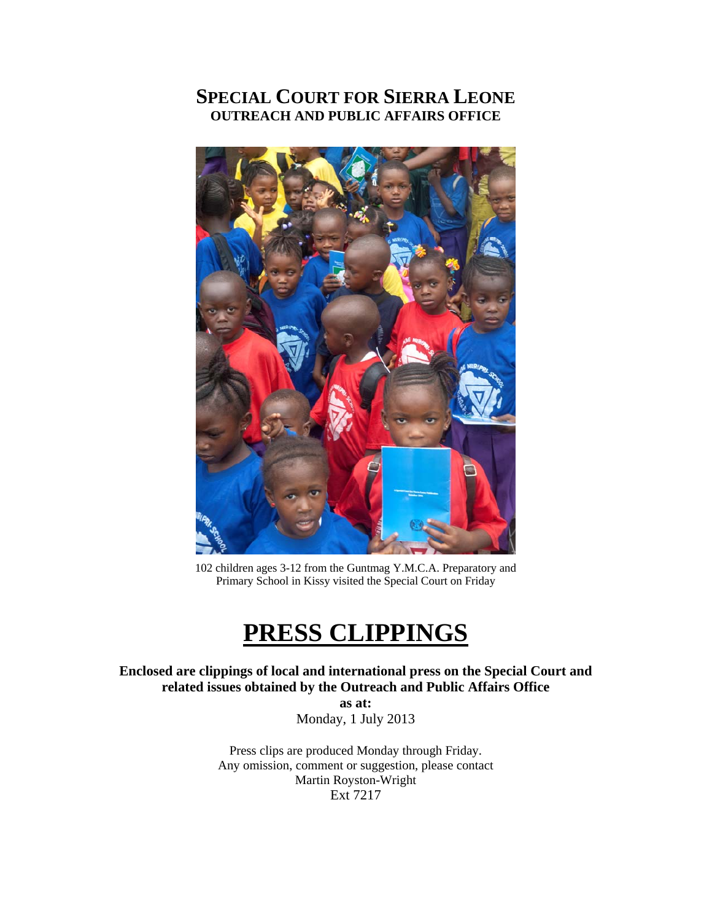# **SPECIAL COURT FOR SIERRA LEONE OUTREACH AND PUBLIC AFFAIRS OFFICE**



102 children ages 3-12 from the Guntmag Y.M.C.A. Preparatory and Primary School in Kissy visited the Special Court on Friday

# **PRESS CLIPPINGS**

**Enclosed are clippings of local and international press on the Special Court and related issues obtained by the Outreach and Public Affairs Office** 

**as at:**  Monday, 1 July 2013

Press clips are produced Monday through Friday. Any omission, comment or suggestion, please contact Martin Royston-Wright Ext 7217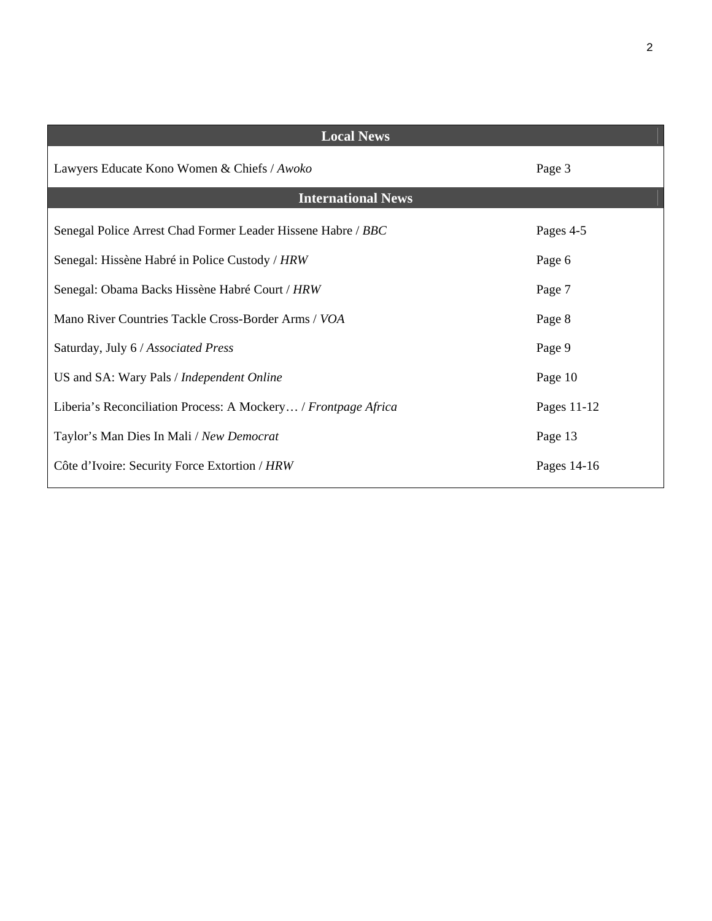| <b>Local News</b>                                              |             |
|----------------------------------------------------------------|-------------|
| Lawyers Educate Kono Women & Chiefs / Awoko                    | Page 3      |
| <b>International News</b>                                      |             |
| Senegal Police Arrest Chad Former Leader Hissene Habre / BBC   | Pages 4-5   |
| Senegal: Hissène Habré in Police Custody / HRW                 | Page 6      |
| Senegal: Obama Backs Hissène Habré Court / HRW                 | Page 7      |
| Mano River Countries Tackle Cross-Border Arms / VOA            | Page 8      |
| Saturday, July 6 / Associated Press                            | Page 9      |
| US and SA: Wary Pals / Independent Online                      | Page 10     |
| Liberia's Reconciliation Process: A Mockery / Frontpage Africa | Pages 11-12 |
| Taylor's Man Dies In Mali / New Democrat                       | Page 13     |
| Côte d'Ivoire: Security Force Extortion / HRW                  | Pages 14-16 |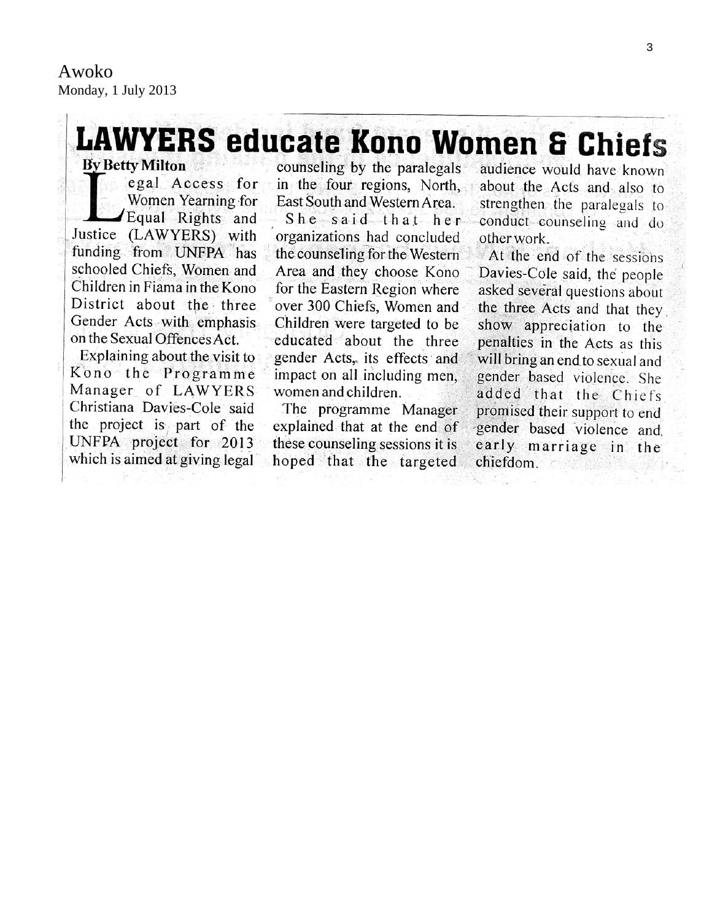# **LAWYERS educate Kono Women & Chiefs By Betty Milton**

egal Access for Women Yearning for Equal Rights and Justice (LAWYERS) with funding from UNFPA has schooled Chiefs, Women and Children in Fiama in the Kono District about the three Gender Acts with emphasis on the Sexual Offences Act.

Explaining about the visit to Kono the Programme Manager of LAWYERS Christiana Davies-Cole said the project is part of the UNFPA project for 2013 which is aimed at giving legal

counseling by the paralegals in the four regions. North. East South and Western Area.

She said that her organizations had concluded the counseling for the Western Area and they choose Kono for the Eastern Region where over 300 Chiefs, Women and Children were targeted to be educated about the three gender Acts, its effects and impact on all including men, women and children.

The programme Manager explained that at the end of these counseling sessions it is hoped that the targeted

audience would have known about the Acts and also to strengthen the paralegals to conduct counseling and do other work.

At the end of the sessions Davies-Cole said, the people asked several questions about the three Acts and that they show appreciation to the penalties in the Acts as this will bring an end to sexual and gender based violence. She added that the Chiefs promised their support to end gender based violence and early marriage in the chiefdom.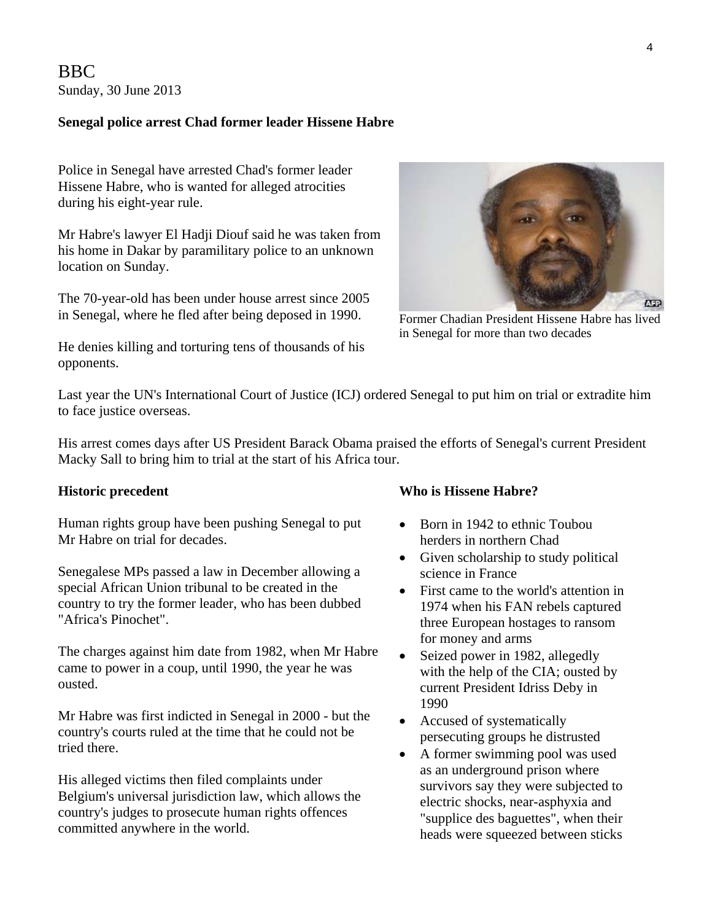BBC Sunday, 30 June 2013

#### **Senegal police arrest Chad former leader Hissene Habre**

Police in Senegal have arrested Chad's former leader Hissene Habre, who is wanted for alleged atrocities during his eight-year rule.

Mr Habre's lawyer El Hadji Diouf said he was taken from his home in Dakar by paramilitary police to an unknown location on Sunday.

The 70-year-old has been under house arrest since 2005 in Senegal, where he fled after being deposed in 1990.



Former Chadian President Hissene Habre has lived in Senegal for more than two decades

He denies killing and torturing tens of thousands of his opponents.

Last year the UN's International Court of Justice (ICJ) ordered Senegal to put him on trial or extradite him to face justice overseas.

His arrest comes days after US President Barack Obama praised the efforts of Senegal's current President Macky Sall to bring him to trial at the start of his Africa tour.

Human rights group have been pushing Senegal to put Mr Habre on trial for decades.

Senegalese MPs passed a law in December allowing a special African Union tribunal to be created in the country to try the former leader, who has been dubbed "Africa's Pinochet".

The charges against him date from 1982, when Mr Habre came to power in a coup, until 1990, the year he was ousted.

Mr Habre was first indicted in Senegal in 2000 - but the country's courts ruled at the time that he could not be tried there.

His alleged victims then filed complaints under Belgium's universal jurisdiction law, which allows the country's judges to prosecute human rights offences committed anywhere in the world.

#### **Historic precedent** Who is Hissene Habre?

- Born in 1942 to ethnic Toubou herders in northern Chad
- Given scholarship to study political science in France
- First came to the world's attention in 1974 when his FAN rebels captured three European hostages to ransom for money and arms
- Seized power in 1982, allegedly with the help of the CIA; ousted by current President Idriss Deby in 1990
- Accused of systematically persecuting groups he distrusted
- A former swimming pool was used as an underground prison where survivors say they were subjected to electric shocks, near-asphyxia and "supplice des baguettes", when their heads were squeezed between sticks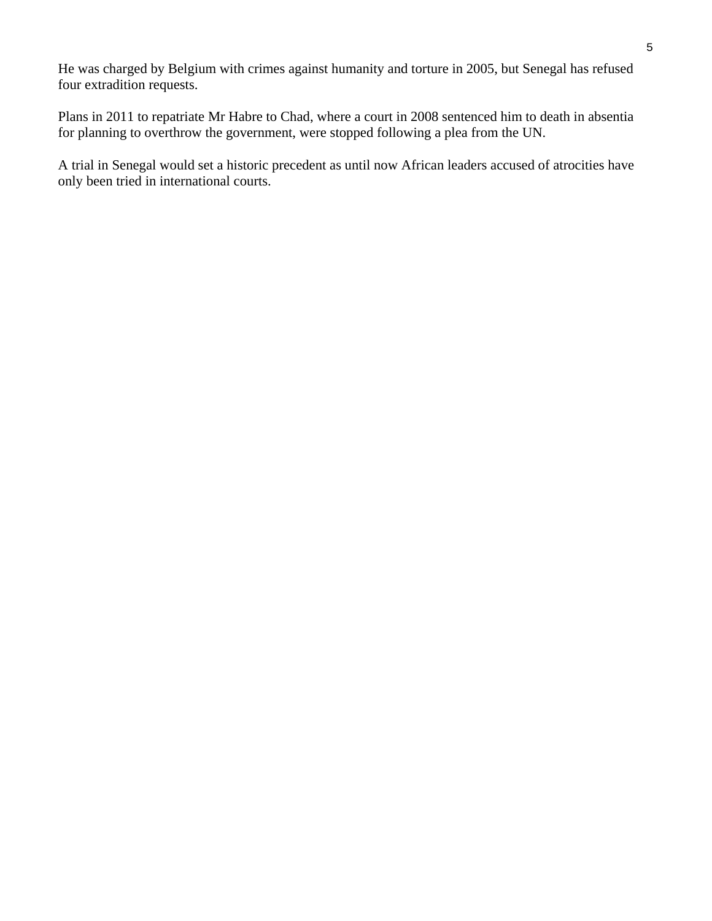He was charged by Belgium with crimes against humanity and torture in 2005, but Senegal has refused four extradition requests.

Plans in 2011 to repatriate Mr Habre to Chad, where a court in 2008 sentenced him to death in absentia for planning to overthrow the government, were stopped following a plea from the UN.

A trial in Senegal would set a historic precedent as until now African leaders accused of atrocities have only been tried in international courts.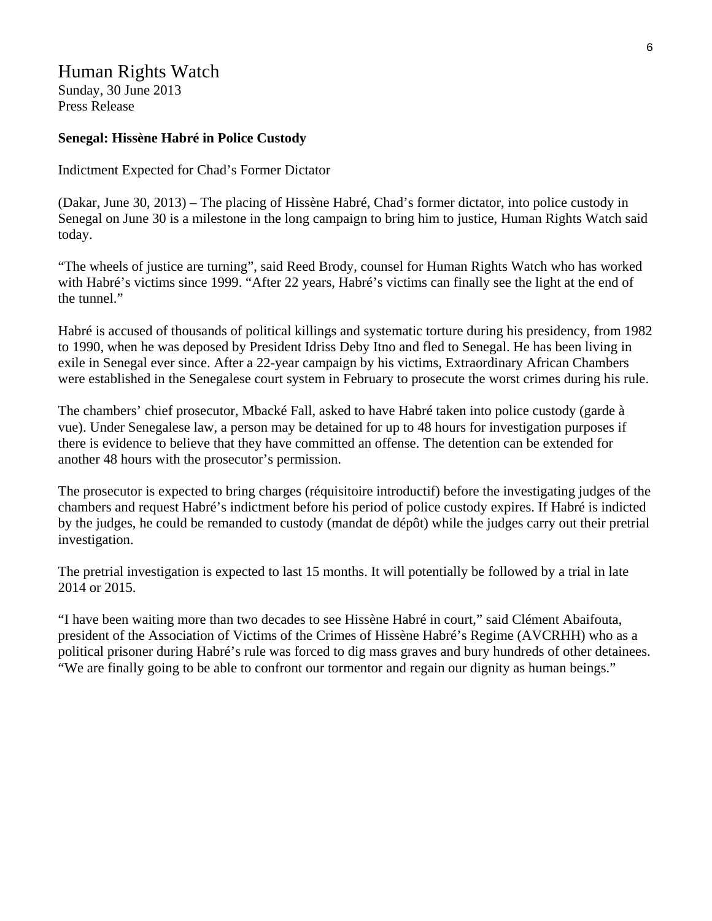# Human Rights Watch

Sunday, 30 June 2013 Press Release

#### **Senegal: Hissène Habré in Police Custody**

Indictment Expected for Chad's Former Dictator

(Dakar, June 30, 2013) – The placing of Hissène Habré, Chad's former dictator, into police custody in Senegal on June 30 is a milestone in the long campaign to bring him to justice, Human Rights Watch said today.

"The wheels of justice are turning", said Reed Brody, counsel for Human Rights Watch who has worked with Habré's victims since 1999. "After 22 years, Habré's victims can finally see the light at the end of the tunnel."

Habré is accused of thousands of political killings and systematic torture during his presidency, from 1982 to 1990, when he was deposed by President Idriss Deby Itno and fled to Senegal. He has been living in exile in Senegal ever since. After a 22-year campaign by his victims, Extraordinary African Chambers were established in the Senegalese court system in February to prosecute the worst crimes during his rule.

The chambers' chief prosecutor, Mbacké Fall, asked to have Habré taken into police custody (garde à vue). Under Senegalese law, a person may be detained for up to 48 hours for investigation purposes if there is evidence to believe that they have committed an offense. The detention can be extended for another 48 hours with the prosecutor's permission.

The prosecutor is expected to bring charges (réquisitoire introductif) before the investigating judges of the chambers and request Habré's indictment before his period of police custody expires. If Habré is indicted by the judges, he could be remanded to custody (mandat de dépôt) while the judges carry out their pretrial investigation.

The pretrial investigation is expected to last 15 months. It will potentially be followed by a trial in late 2014 or 2015.

"I have been waiting more than two decades to see Hissène Habré in court," said Clément Abaifouta, president of the Association of Victims of the Crimes of Hissène Habré's Regime (AVCRHH) who as a political prisoner during Habré's rule was forced to dig mass graves and bury hundreds of other detainees. "We are finally going to be able to confront our tormentor and regain our dignity as human beings."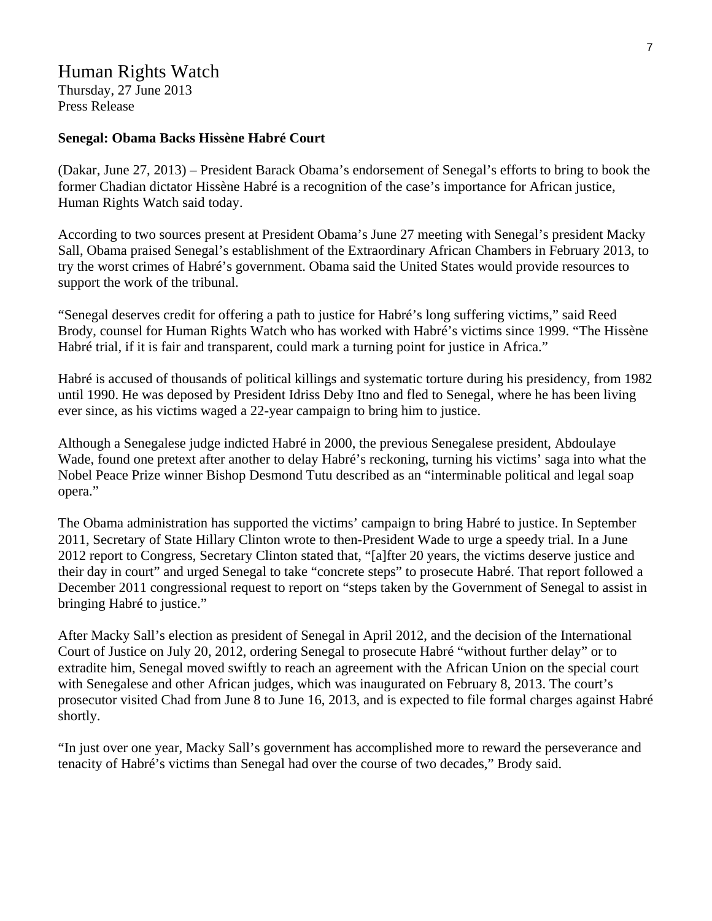# Human Rights Watch

Thursday, 27 June 2013 Press Release

#### **Senegal: Obama Backs Hissène Habré Court**

(Dakar, June 27, 2013) – President Barack Obama's endorsement of Senegal's efforts to bring to book the former Chadian dictator Hissène Habré is a recognition of the case's importance for African justice, Human Rights Watch said today.

According to two sources present at President Obama's June 27 meeting with Senegal's president Macky Sall, Obama praised Senegal's establishment of the Extraordinary African Chambers in February 2013, to try the worst crimes of Habré's government. Obama said the United States would provide resources to support the work of the tribunal.

"Senegal deserves credit for offering a path to justice for Habré's long suffering victims," said Reed Brody, counsel for Human Rights Watch who has worked with Habré's victims since 1999. "The Hissène Habré trial, if it is fair and transparent, could mark a turning point for justice in Africa."

Habré is accused of thousands of political killings and systematic torture during his presidency, from 1982 until 1990. He was deposed by President Idriss Deby Itno and fled to Senegal, where he has been living ever since, as his victims waged a 22-year campaign to bring him to justice.

Although a Senegalese judge indicted Habré in 2000, the previous Senegalese president, Abdoulaye Wade, found one pretext after another to delay Habré's reckoning, turning his victims' saga into what the Nobel Peace Prize winner Bishop Desmond Tutu described as an "interminable political and legal soap opera."

The Obama administration has supported the victims' campaign to bring Habré to justice. In September 2011, Secretary of State Hillary Clinton wrote to then-President Wade to urge a speedy trial. In a June 2012 report to Congress, Secretary Clinton stated that, "[a]fter 20 years, the victims deserve justice and their day in court" and urged Senegal to take "concrete steps" to prosecute Habré. That report followed a December 2011 congressional request to report on "steps taken by the Government of Senegal to assist in bringing Habré to justice."

After Macky Sall's election as president of Senegal in April 2012, and the decision of the International Court of Justice on July 20, 2012, ordering Senegal to prosecute Habré "without further delay" or to extradite him, Senegal moved swiftly to reach an agreement with the African Union on the special court with Senegalese and other African judges, which was inaugurated on February 8, 2013. The court's prosecutor visited Chad from June 8 to June 16, 2013, and is expected to file formal charges against Habré shortly.

"In just over one year, Macky Sall's government has accomplished more to reward the perseverance and tenacity of Habré's victims than Senegal had over the course of two decades," Brody said.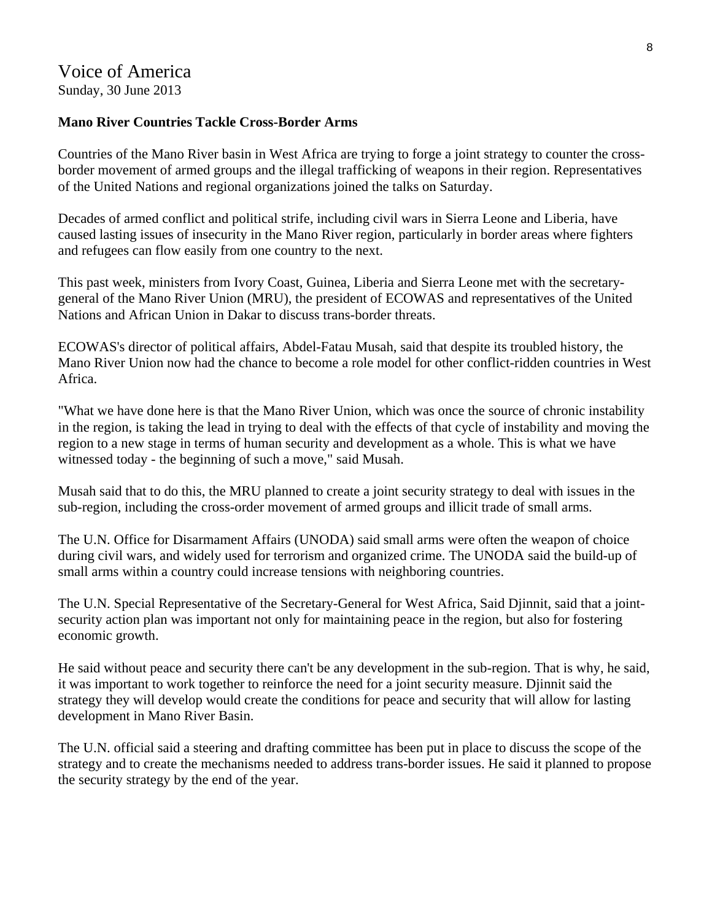# Voice of America Sunday, 30 June 2013

#### **Mano River Countries Tackle Cross-Border Arms**

Countries of the Mano River basin in West Africa are trying to forge a joint strategy to counter the crossborder movement of armed groups and the illegal trafficking of weapons in their region. Representatives of the United Nations and regional organizations joined the talks on Saturday.

Decades of armed conflict and political strife, including civil wars in Sierra Leone and Liberia, have caused lasting issues of insecurity in the Mano River region, particularly in border areas where fighters and refugees can flow easily from one country to the next.

This past week, ministers from Ivory Coast, Guinea, Liberia and Sierra Leone met with the secretarygeneral of the Mano River Union (MRU), the president of ECOWAS and representatives of the United Nations and African Union in Dakar to discuss trans-border threats.

ECOWAS's director of political affairs, Abdel-Fatau Musah, said that despite its troubled history, the Mano River Union now had the chance to become a role model for other conflict-ridden countries in West Africa.

"What we have done here is that the Mano River Union, which was once the source of chronic instability in the region, is taking the lead in trying to deal with the effects of that cycle of instability and moving the region to a new stage in terms of human security and development as a whole. This is what we have witnessed today - the beginning of such a move," said Musah.

Musah said that to do this, the MRU planned to create a joint security strategy to deal with issues in the sub-region, including the cross-order movement of armed groups and illicit trade of small arms.

The U.N. Office for Disarmament Affairs (UNODA) said small arms were often the weapon of choice during civil wars, and widely used for terrorism and organized crime. The UNODA said the build-up of small arms within a country could increase tensions with neighboring countries.

The U.N. Special Representative of the Secretary-General for West Africa, Said Djinnit, said that a jointsecurity action plan was important not only for maintaining peace in the region, but also for fostering economic growth.

He said without peace and security there can't be any development in the sub-region. That is why, he said, it was important to work together to reinforce the need for a joint security measure. Djinnit said the strategy they will develop would create the conditions for peace and security that will allow for lasting development in Mano River Basin.

The U.N. official said a steering and drafting committee has been put in place to discuss the scope of the strategy and to create the mechanisms needed to address trans-border issues. He said it planned to propose the security strategy by the end of the year.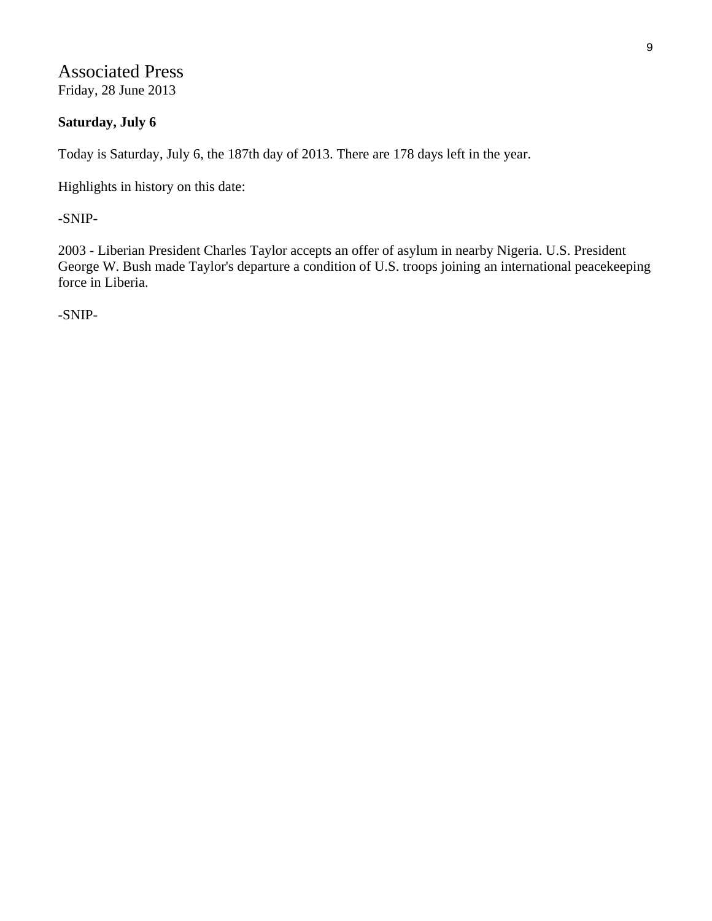Associated Press Friday, 28 June 2013

# **Saturday, July 6**

Today is Saturday, July 6, the 187th day of 2013. There are 178 days left in the year.

Highlights in history on this date:

-SNIP-

2003 - Liberian President Charles Taylor accepts an offer of asylum in nearby Nigeria. U.S. President George W. Bush made Taylor's departure a condition of U.S. troops joining an international peacekeeping force in Liberia.

-SNIP-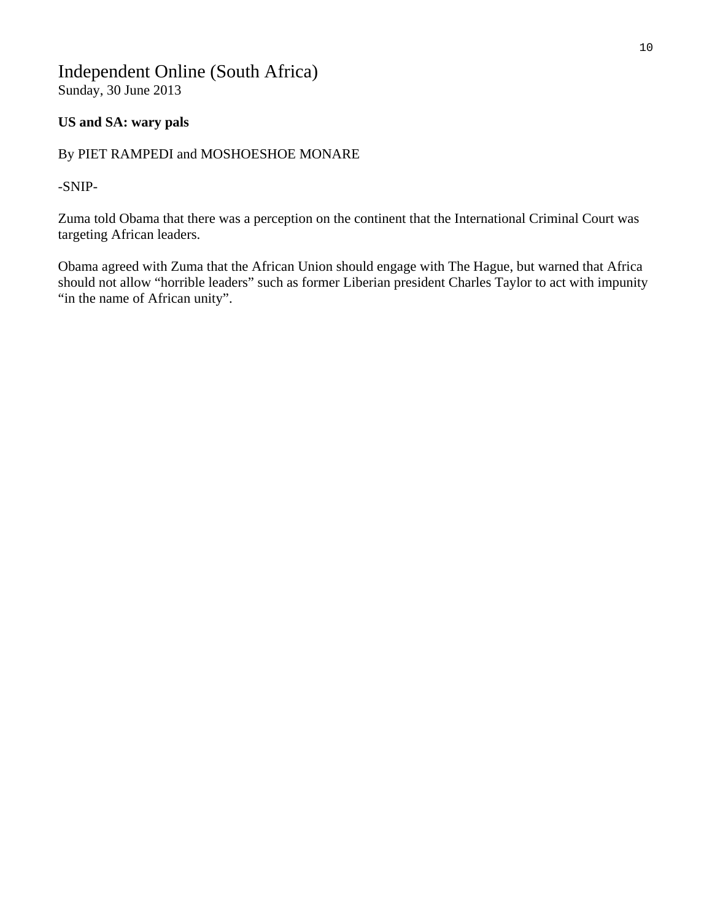# Independent Online (South Africa) Sunday, 30 June 2013

# **US and SA: wary pals**

# By PIET RAMPEDI and MOSHOESHOE MONARE

-SNIP-

Zuma told Obama that there was a perception on the continent that the International Criminal Court was targeting African leaders.

Obama agreed with Zuma that the African Union should engage with The Hague, but warned that Africa should not allow "horrible leaders" such as former Liberian president Charles Taylor to act with impunity "in the name of African unity".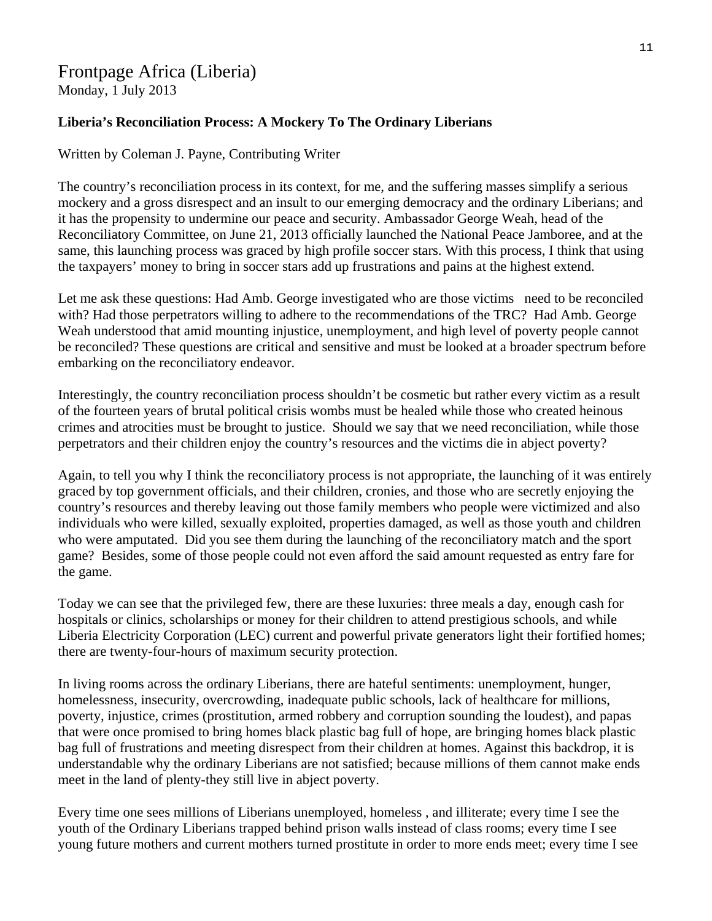# Frontpage Africa (Liberia) Monday, 1 July 2013

# **Liberia's Reconciliation Process: A Mockery To The Ordinary Liberians**

# Written by Coleman J. Payne, Contributing Writer

The country's reconciliation process in its context, for me, and the suffering masses simplify a serious mockery and a gross disrespect and an insult to our emerging democracy and the ordinary Liberians; and it has the propensity to undermine our peace and security. Ambassador George Weah, head of the Reconciliatory Committee, on June 21, 2013 officially launched the National Peace Jamboree, and at the same, this launching process was graced by high profile soccer stars. With this process, I think that using the taxpayers' money to bring in soccer stars add up frustrations and pains at the highest extend.

Let me ask these questions: Had Amb. George investigated who are those victims need to be reconciled with? Had those perpetrators willing to adhere to the recommendations of the TRC? Had Amb. George Weah understood that amid mounting injustice, unemployment, and high level of poverty people cannot be reconciled? These questions are critical and sensitive and must be looked at a broader spectrum before embarking on the reconciliatory endeavor.

Interestingly, the country reconciliation process shouldn't be cosmetic but rather every victim as a result of the fourteen years of brutal political crisis wombs must be healed while those who created heinous crimes and atrocities must be brought to justice. Should we say that we need reconciliation, while those perpetrators and their children enjoy the country's resources and the victims die in abject poverty?

Again, to tell you why I think the reconciliatory process is not appropriate, the launching of it was entirely graced by top government officials, and their children, cronies, and those who are secretly enjoying the country's resources and thereby leaving out those family members who people were victimized and also individuals who were killed, sexually exploited, properties damaged, as well as those youth and children who were amputated. Did you see them during the launching of the reconciliatory match and the sport game? Besides, some of those people could not even afford the said amount requested as entry fare for the game.

Today we can see that the privileged few, there are these luxuries: three meals a day, enough cash for hospitals or clinics, scholarships or money for their children to attend prestigious schools, and while Liberia Electricity Corporation (LEC) current and powerful private generators light their fortified homes; there are twenty-four-hours of maximum security protection.

In living rooms across the ordinary Liberians, there are hateful sentiments: unemployment, hunger, homelessness, insecurity, overcrowding, inadequate public schools, lack of healthcare for millions, poverty, injustice, crimes (prostitution, armed robbery and corruption sounding the loudest), and papas that were once promised to bring homes black plastic bag full of hope, are bringing homes black plastic bag full of frustrations and meeting disrespect from their children at homes. Against this backdrop, it is understandable why the ordinary Liberians are not satisfied; because millions of them cannot make ends meet in the land of plenty-they still live in abject poverty.

Every time one sees millions of Liberians unemployed, homeless , and illiterate; every time I see the youth of the Ordinary Liberians trapped behind prison walls instead of class rooms; every time I see young future mothers and current mothers turned prostitute in order to more ends meet; every time I see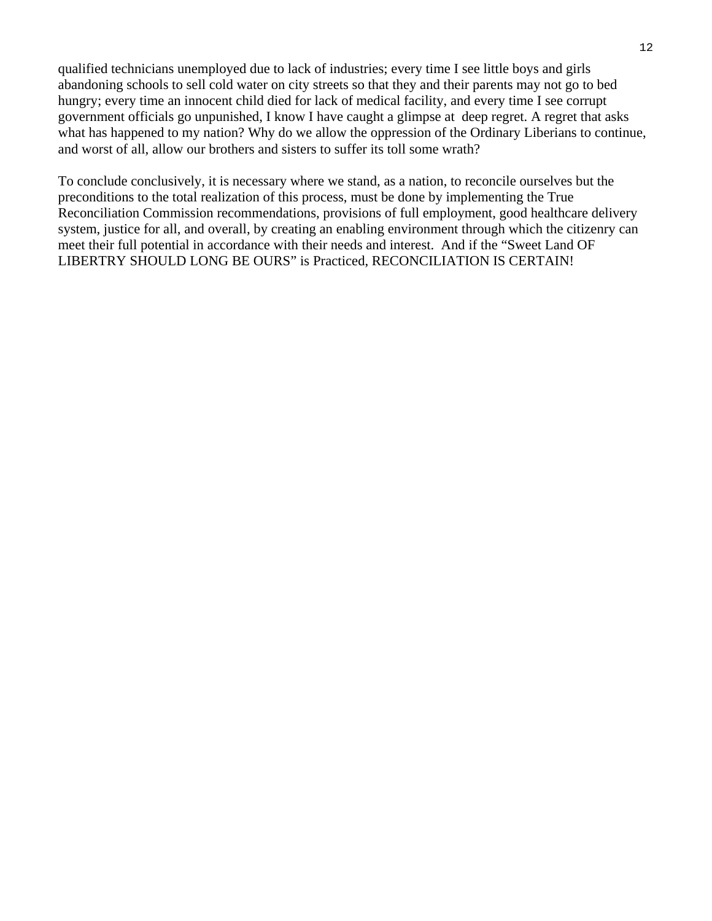qualified technicians unemployed due to lack of industries; every time I see little boys and girls abandoning schools to sell cold water on city streets so that they and their parents may not go to bed hungry; every time an innocent child died for lack of medical facility, and every time I see corrupt government officials go unpunished, I know I have caught a glimpse at deep regret. A regret that asks what has happened to my nation? Why do we allow the oppression of the Ordinary Liberians to continue, and worst of all, allow our brothers and sisters to suffer its toll some wrath?

To conclude conclusively, it is necessary where we stand, as a nation, to reconcile ourselves but the preconditions to the total realization of this process, must be done by implementing the True Reconciliation Commission recommendations, provisions of full employment, good healthcare delivery system, justice for all, and overall, by creating an enabling environment through which the citizenry can meet their full potential in accordance with their needs and interest. And if the "Sweet Land OF LIBERTRY SHOULD LONG BE OURS" is Practiced, RECONCILIATION IS CERTAIN!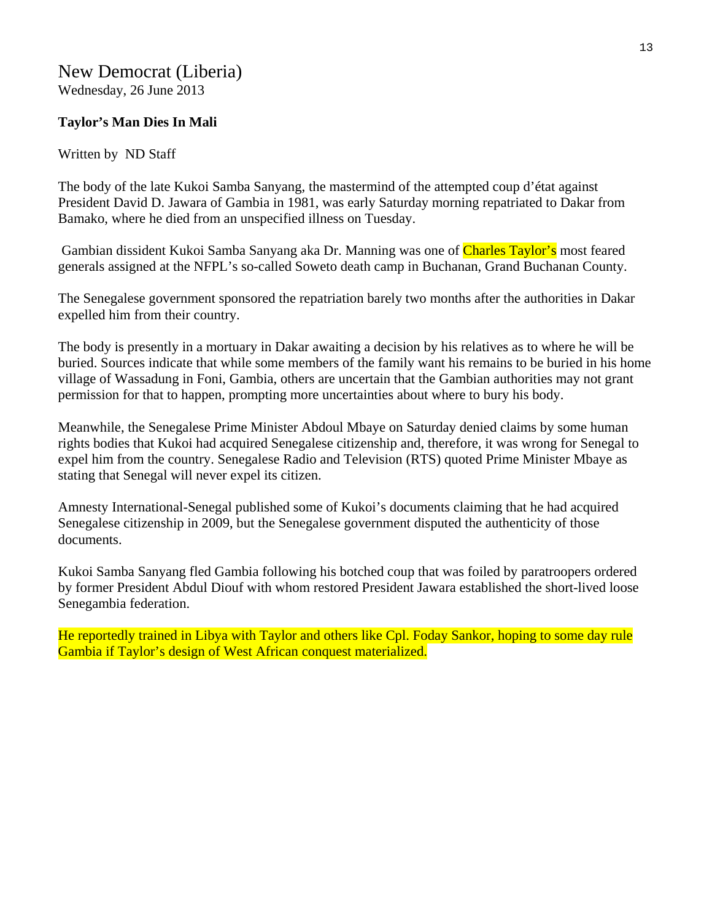# New Democrat (Liberia) Wednesday, 26 June 2013

# **Taylor's Man Dies In Mali**

# Written by ND Staff

The body of the late Kukoi Samba Sanyang, the mastermind of the attempted coup d'état against President David D. Jawara of Gambia in 1981, was early Saturday morning repatriated to Dakar from Bamako, where he died from an unspecified illness on Tuesday.

Gambian dissident Kukoi Samba Sanyang aka Dr. Manning was one of Charles Taylor's most feared generals assigned at the NFPL's so-called Soweto death camp in Buchanan, Grand Buchanan County.

The Senegalese government sponsored the repatriation barely two months after the authorities in Dakar expelled him from their country.

The body is presently in a mortuary in Dakar awaiting a decision by his relatives as to where he will be buried. Sources indicate that while some members of the family want his remains to be buried in his home village of Wassadung in Foni, Gambia, others are uncertain that the Gambian authorities may not grant permission for that to happen, prompting more uncertainties about where to bury his body.

Meanwhile, the Senegalese Prime Minister Abdoul Mbaye on Saturday denied claims by some human rights bodies that Kukoi had acquired Senegalese citizenship and, therefore, it was wrong for Senegal to expel him from the country. Senegalese Radio and Television (RTS) quoted Prime Minister Mbaye as stating that Senegal will never expel its citizen.

Amnesty International-Senegal published some of Kukoi's documents claiming that he had acquired Senegalese citizenship in 2009, but the Senegalese government disputed the authenticity of those documents.

Kukoi Samba Sanyang fled Gambia following his botched coup that was foiled by paratroopers ordered by former President Abdul Diouf with whom restored President Jawara established the short-lived loose Senegambia federation.

He reportedly trained in Libya with Taylor and others like Cpl. Foday Sankor, hoping to some day rule Gambia if Taylor's design of West African conquest materialized.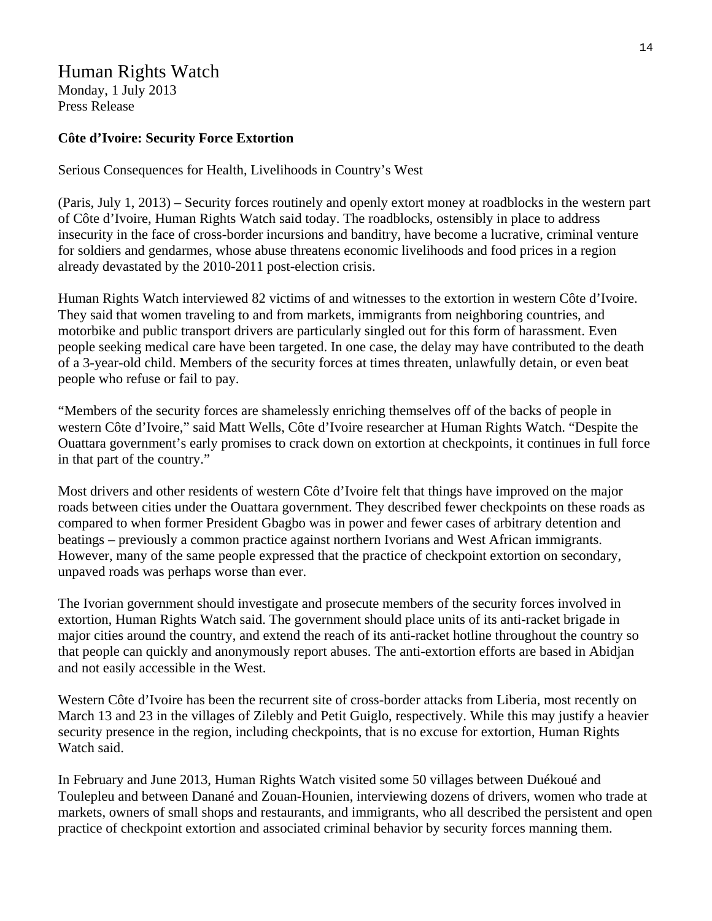# Human Rights Watch

Monday, 1 July 2013 Press Release

# **Côte d'Ivoire: Security Force Extortion**

Serious Consequences for Health, Livelihoods in Country's West

(Paris, July 1, 2013) – Security forces routinely and openly extort money at roadblocks in the western part of Côte d'Ivoire, Human Rights Watch said today. The roadblocks, ostensibly in place to address insecurity in the face of cross-border incursions and banditry, have become a lucrative, criminal venture for soldiers and gendarmes, whose abuse threatens economic livelihoods and food prices in a region already devastated by the 2010-2011 post-election crisis.

Human Rights Watch interviewed 82 victims of and witnesses to the extortion in western Côte d'Ivoire. They said that women traveling to and from markets, immigrants from neighboring countries, and motorbike and public transport drivers are particularly singled out for this form of harassment. Even people seeking medical care have been targeted. In one case, the delay may have contributed to the death of a 3-year-old child. Members of the security forces at times threaten, unlawfully detain, or even beat people who refuse or fail to pay.

"Members of the security forces are shamelessly enriching themselves off of the backs of people in western Côte d'Ivoire," said Matt Wells, Côte d'Ivoire researcher at Human Rights Watch. "Despite the Ouattara government's early promises to crack down on extortion at checkpoints, it continues in full force in that part of the country."

Most drivers and other residents of western Côte d'Ivoire felt that things have improved on the major roads between cities under the Ouattara government. They described fewer checkpoints on these roads as compared to when former President Gbagbo was in power and fewer cases of arbitrary detention and beatings – previously a common practice against northern Ivorians and West African immigrants. However, many of the same people expressed that the practice of checkpoint extortion on secondary, unpaved roads was perhaps worse than ever.

The Ivorian government should investigate and prosecute members of the security forces involved in extortion, Human Rights Watch said. The government should place units of its anti-racket brigade in major cities around the country, and extend the reach of its anti-racket hotline throughout the country so that people can quickly and anonymously report abuses. The anti-extortion efforts are based in Abidjan and not easily accessible in the West.

Western Côte d'Ivoire has been the recurrent site of cross-border attacks from Liberia, most recently on March 13 and 23 in the villages of Zilebly and Petit Guiglo, respectively. While this may justify a heavier security presence in the region, including checkpoints, that is no excuse for extortion, Human Rights Watch said.

In February and June 2013, Human Rights Watch visited some 50 villages between Duékoué and Toulepleu and between Danané and Zouan-Hounien, interviewing dozens of drivers, women who trade at markets, owners of small shops and restaurants, and immigrants, who all described the persistent and open practice of checkpoint extortion and associated criminal behavior by security forces manning them.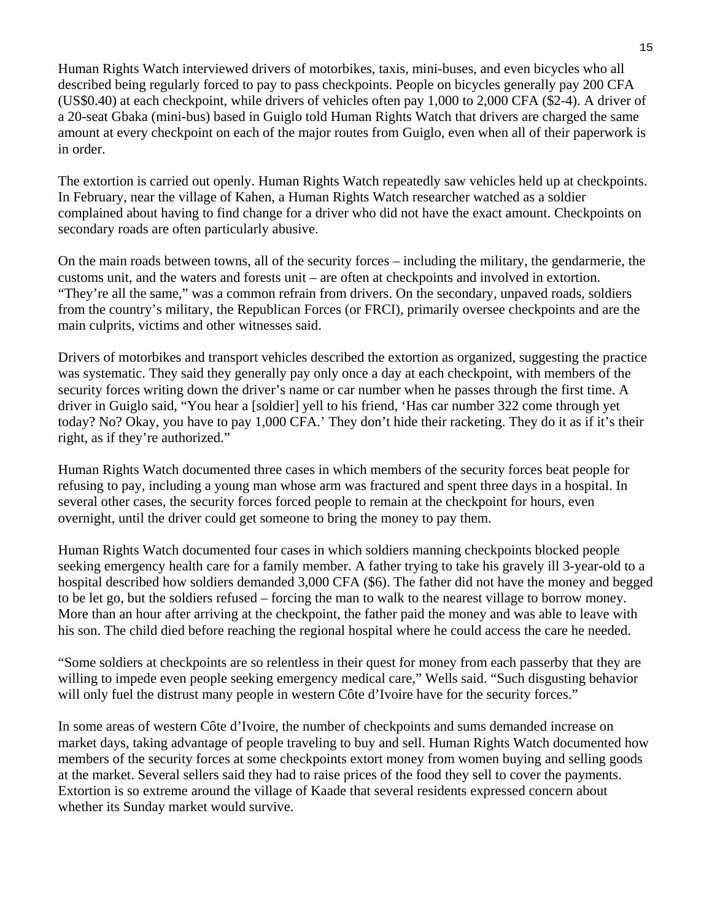Human Rights Watch interviewed drivers of motorbikes, taxis, mini-buses, and even bicycles who all described being regularly forced to pay to pass checkpoints. People on bicycles generally pay 200 CFA (US\$0.40) at each checkpoint, while drivers of vehicles often pay 1,000 to 2,000 CFA (\$2-4). A driver of a 20-seat Gbaka (mini-bus) based in Guiglo told Human Rights Watch that drivers are charged the same amount at every checkpoint on each of the major routes from Guiglo, even when all of their paperwork is in order.

The extortion is carried out openly. Human Rights Watch repeatedly saw vehicles held up at checkpoints. In February, near the village of Kahen, a Human Rights Watch researcher watched as a soldier complained about having to find change for a driver who did not have the exact amount. Checkpoints on secondary roads are often particularly abusive.

On the main roads between towns, all of the security forces – including the military, the gendarmerie, the customs unit, and the waters and forests unit – are often at checkpoints and involved in extortion. "They're all the same," was a common refrain from drivers. On the secondary, unpaved roads, soldiers from the country's military, the Republican Forces (or FRCI), primarily oversee checkpoints and are the main culprits, victims and other witnesses said.

Drivers of motorbikes and transport vehicles described the extortion as organized, suggesting the practice was systematic. They said they generally pay only once a day at each checkpoint, with members of the security forces writing down the driver's name or car number when he passes through the first time. A driver in Guiglo said, "You hear a [soldier] yell to his friend, 'Has car number 322 come through yet today? No? Okay, you have to pay 1,000 CFA.' They don't hide their racketing. They do it as if it's their right, as if they're authorized."

Human Rights Watch documented three cases in which members of the security forces beat people for refusing to pay, including a young man whose arm was fractured and spent three days in a hospital. In several other cases, the security forces forced people to remain at the checkpoint for hours, even overnight, until the driver could get someone to bring the money to pay them.

Human Rights Watch documented four cases in which soldiers manning checkpoints blocked people seeking emergency health care for a family member. A father trying to take his gravely ill 3-year-old to a hospital described how soldiers demanded 3,000 CFA (\$6). The father did not have the money and begged to be let go, but the soldiers refused – forcing the man to walk to the nearest village to borrow money. More than an hour after arriving at the checkpoint, the father paid the money and was able to leave with his son. The child died before reaching the regional hospital where he could access the care he needed.

"Some soldiers at checkpoints are so relentless in their quest for money from each passerby that they are willing to impede even people seeking emergency medical care," Wells said. "Such disgusting behavior will only fuel the distrust many people in western Côte d'Ivoire have for the security forces."

In some areas of western Côte d'Ivoire, the number of checkpoints and sums demanded increase on market days, taking advantage of people traveling to buy and sell. Human Rights Watch documented how members of the security forces at some checkpoints extort money from women buying and selling goods at the market. Several sellers said they had to raise prices of the food they sell to cover the payments. Extortion is so extreme around the village of Kaade that several residents expressed concern about whether its Sunday market would survive.